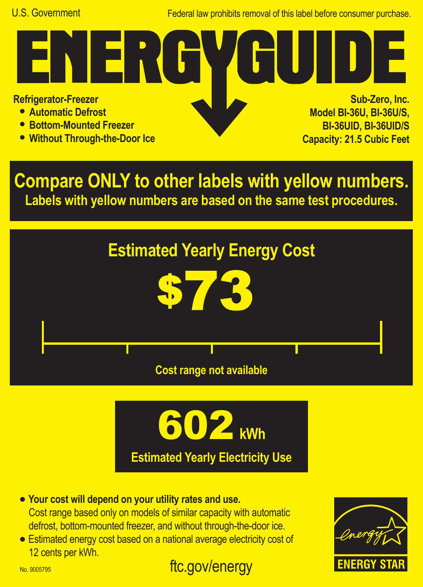Federal law prohibits removal of this label before consumer purchase.

**Refrigerator-Freezer**

- **• Automatic Defrost**
- **• Bottom-Mounted Freezer**
- **• Without Through-the-Door Ice**

N ERI

**Sub-Zero, Inc. Model BI-36U, BI-36U/S, BI-36UID, BI-36UID/S Capacity: 21.5 Cubic Feet**

**Compare ONLY to other labels with yellow numbers. Labels with yellow numbers are based on the same test procedures.**





- **• Your cost will depend on your utility rates and use.** Cost range based only on models of similar capacity with automatic defrost, bottom-mounted freezer, and without through-the-door ice.
- **•** Estimated energy cost based on a national average electricity cost of 12 cents per kWh.